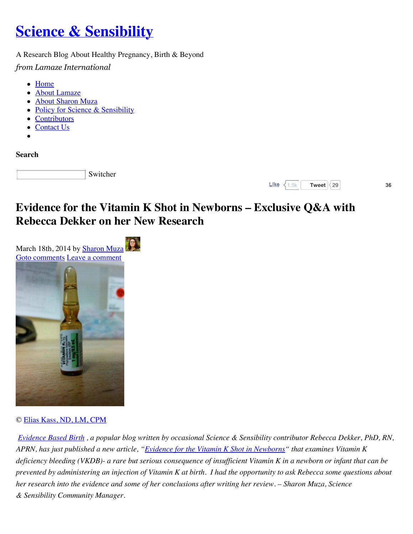# **[Science & Sensibility](http://www.scienceandsensibility.org/)**

A Research Blog About Healthy Pregnancy, Birth & Beyond

*from Lamaze International*

- [Home](http://www.scienceandsensibility.org/)
- [About Lamaze](http://www.scienceandsensibility.org/?page_id=3)
- [About Sharon Muza](http://www.scienceandsensibility.org/?page_id=1655)
- [Policy for Science & Sensibility](http://www.scienceandsensibility.org/?page_id=1662)
- [Contributors](http://www.scienceandsensibility.org/?page_id=1979)
- [Contact Us](http://www.scienceandsensibility.org/?page_id=2174)
- 

**Search**

Switcher



## **Evidence for the Vitamin K Shot in Newborns – Exclusive Q&A with Rebecca Dekker on her New Research**



#### © [Elias Kass, ND, LM, CPM](http://www.oneskyfamilymedicine.com/)

*[Evidence Based Birth](http://evidencebasedbirth.com/) , a popular blog written by occasional Science & Sensibility contributor Rebecca Dekker, PhD, RN, APRN, has just published a new article, ["Evidence for the Vitamin K Shot in Newborns"](http://www.evidencebasedbirth.com/evidence-for-the-Vitamin-K-shot-in-newborns) that examines Vitamin K deficiency bleeding (VKDB)- a rare but serious consequence of insufficient Vitamin K in a newborn or infant that can be prevented by administering an injection of Vitamin K at birth. I had the opportunity to ask Rebecca some questions about her research into the evidence and some of her conclusions after writing her review. – Sharon Muza, Science & Sensibility Community Manager.*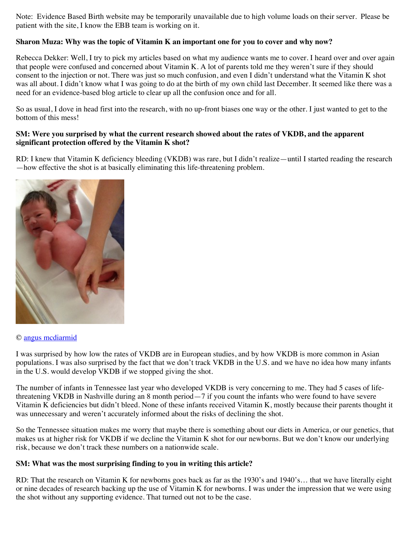Note: Evidence Based Birth website may be temporarily unavailable due to high volume loads on their server. Please be patient with the site, I know the EBB team is working on it.

#### **Sharon Muza: Why was the topic of Vitamin K an important one for you to cover and why now?**

Rebecca Dekker: Well, I try to pick my articles based on what my audience wants me to cover. I heard over and over again that people were confused and concerned about Vitamin K. A lot of parents told me they weren't sure if they should consent to the injection or not. There was just so much confusion, and even I didn't understand what the Vitamin K shot was all about. I didn't know what I was going to do at the birth of my own child last December. It seemed like there was a need for an evidence-based blog article to clear up all the confusion once and for all.

So as usual, I dove in head first into the research, with no up-front biases one way or the other. I just wanted to get to the bottom of this mess!

#### **SM: Were you surprised by what the current research showed about the rates of VKDB, and the apparent significant protection offered by the Vitamin K shot?**

RD: I knew that Vitamin K deficiency bleeding (VKDB) was rare, but I didn't realize—until I started reading the research —how effective the shot is at basically eliminating this life-threatening problem.



#### © [angus mcdiarmid](http://www.flickr.com/photos/angusmcdiarmid/)

I was surprised by how low the rates of VKDB are in European studies, and by how VKDB is more common in Asian populations. I was also surprised by the fact that we don't track VKDB in the U.S. and we have no idea how many infants in the U.S. would develop VKDB if we stopped giving the shot.

The number of infants in Tennessee last year who developed VKDB is very concerning to me. They had 5 cases of lifethreatening VKDB in Nashville during an 8 month period—7 if you count the infants who were found to have severe Vitamin K deficiencies but didn't bleed. None of these infants received Vitamin K, mostly because their parents thought it was unnecessary and weren't accurately informed about the risks of declining the shot.

So the Tennessee situation makes me worry that maybe there is something about our diets in America, or our genetics, that makes us at higher risk for VKDB if we decline the Vitamin K shot for our newborns. But we don't know our underlying risk, because we don't track these numbers on a nationwide scale.

#### **SM: What was the most surprising finding to you in writing this article?**

RD: That the research on Vitamin K for newborns goes back as far as the 1930's and 1940's… that we have literally eight or nine decades of research backing up the use of Vitamin K for newborns. I was under the impression that we were using the shot without any supporting evidence. That turned out not to be the case.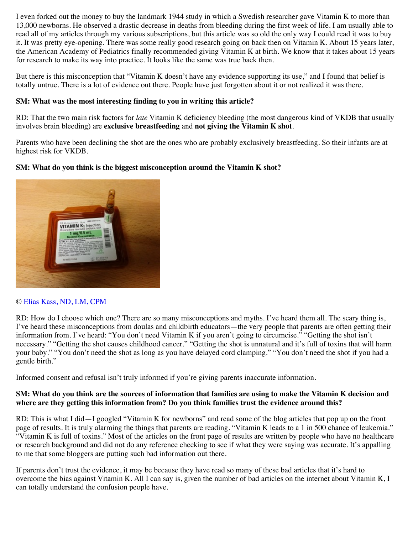I even forked out the money to buy the landmark 1944 study in which a Swedish researcher gave Vitamin K to more than 13,000 newborns. He observed a drastic decrease in deaths from bleeding during the first week of life. I am usually able to read all of my articles through my various subscriptions, but this article was so old the only way I could read it was to buy it. It was pretty eye-opening. There was some really good research going on back then on Vitamin K. About 15 years later, the American Academy of Pediatrics finally recommended giving Vitamin K at birth. We know that it takes about 15 years for research to make its way into practice. It looks like the same was true back then.

But there is this misconception that "Vitamin K doesn't have any evidence supporting its use," and I found that belief is totally untrue. There is a lot of evidence out there. People have just forgotten about it or not realized it was there.

#### **SM: What was the most interesting finding to you in writing this article?**

RD: That the two main risk factors for *late* Vitamin K deficiency bleeding (the most dangerous kind of VKDB that usually involves brain bleeding) are **exclusive breastfeeding** and **not giving the Vitamin K shot**.

Parents who have been declining the shot are the ones who are probably exclusively breastfeeding. So their infants are at highest risk for VKDB.

#### **SM: What do you think is the biggest misconception around the Vitamin K shot?**



#### © [Elias Kass, ND, LM, CPM](http://www.oneskyfamilymedicine.com/)

RD: How do I choose which one? There are so many misconceptions and myths. I've heard them all. The scary thing is, I've heard these misconceptions from doulas and childbirth educators—the very people that parents are often getting their information from. I've heard: "You don't need Vitamin K if you aren't going to circumcise." "Getting the shot isn't necessary." "Getting the shot causes childhood cancer." "Getting the shot is unnatural and it's full of toxins that will harm your baby." "You don't need the shot as long as you have delayed cord clamping." "You don't need the shot if you had a gentle birth."

Informed consent and refusal isn't truly informed if you're giving parents inaccurate information.

#### **SM: What do you think are the sources of information that families are using to make the Vitamin K decision and where are they getting this information from? Do you think families trust the evidence around this?**

RD: This is what I did—I googled "Vitamin K for newborns" and read some of the blog articles that pop up on the front page of results. It is truly alarming the things that parents are reading. "Vitamin K leads to a 1 in 500 chance of leukemia." "Vitamin K is full of toxins." Most of the articles on the front page of results are written by people who have no healthcare or research background and did not do any reference checking to see if what they were saying was accurate. It's appalling to me that some bloggers are putting such bad information out there.

If parents don't trust the evidence, it may be because they have read so many of these bad articles that it's hard to overcome the bias against Vitamin K. All I can say is, given the number of bad articles on the internet about Vitamin K, I can totally understand the confusion people have.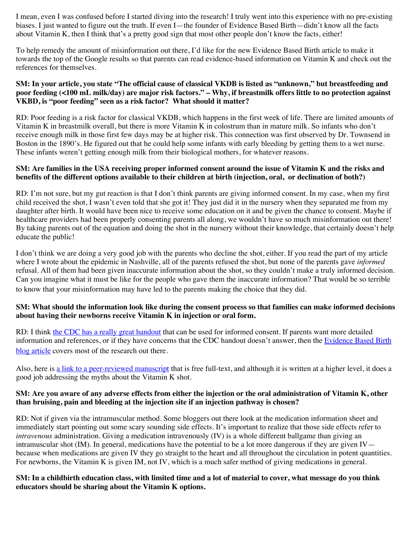I mean, even I was confused before I started diving into the research! I truly went into this experience with no pre-existing biases. I just wanted to figure out the truth. If even I—the founder of Evidence Based Birth—didn't know all the facts about Vitamin K, then I think that's a pretty good sign that most other people don't know the facts, either!

To help remedy the amount of misinformation out there, I'd like for the new Evidence Based Birth article to make it towards the top of the Google results so that parents can read evidence-based information on Vitamin K and check out the references for themselves.

#### **SM: In your article, you state "The official cause of classical VKDB is listed as "unknown," but breastfeeding and poor feeding (<100 mL milk/day) are major risk factors." – Why, if breastmilk offers little to no protection against VKBD, is "poor feeding" seen as a risk factor? What should it matter?**

RD: Poor feeding is a risk factor for classical VKDB, which happens in the first week of life. There are limited amounts of Vitamin K in breastmilk overall, but there is more Vitamin K in colostrum than in mature milk. So infants who don't receive enough milk in those first few days may be at higher risk. This connection was first observed by Dr. Townsend in Boston in the 1890's. He figured out that he could help some infants with early bleeding by getting them to a wet nurse. These infants weren't getting enough milk from their biological mothers, for whatever reasons.

#### **SM: Are families in the USA receiving proper informed consent around the issue of Vitamin K and the risks and benefits of the different options available to their children at birth (injection, oral, or declination of both?)**

RD: I'm not sure, but my gut reaction is that I don't think parents are giving informed consent. In my case, when my first child received the shot, I wasn't even told that she got it! They just did it in the nursery when they separated me from my daughter after birth. It would have been nice to receive some education on it and be given the chance to consent. Maybe if healthcare providers had been properly consenting parents all along, we wouldn't have so much misinformation out there! By taking parents out of the equation and doing the shot in the nursery without their knowledge, that certainly doesn't help educate the public!

I don't think we are doing a very good job with the parents who decline the shot, either. If you read the part of my article where I wrote about the epidemic in Nashville, all of the parents refused the shot, but none of the parents gave *informed* refusal. All of them had been given inaccurate information about the shot, so they couldn't make a truly informed decision. Can you imagine what it must be like for the people who gave them the inaccurate information? That would be so terrible to know that your misinformation may have led to the parents making the choice that they did.

#### **SM: What should the information look like during the consent process so that families can make informed decisions about having their newborns receive Vitamin K in injection or oral form.**

RD: I think [the CDC has a really great handout](http://www.cdc.gov/ncbddd/blooddisorders/documents/vitamin-k.pdf) that can be used for informed consent. If parents want more detailed [information and references, or if they have concerns that the CDC handout doesn't answer, then the Evidence Based Birth](http://www.evidencebasedbirth.com/evidence-for-the-Vitamin-K-shot-in-newborns) blog article covers most of the research out there.

Also, here is [a link to a peer-reviewed manuscript](http://www.ncbi.nlm.nih.gov/pmc/articles/PMC3021393/) that is free full-text, and although it is written at a higher level, it does a good job addressing the myths about the Vitamin K shot.

#### **SM: Are you aware of any adverse effects from either the injection or the oral administration of Vitamin K, other than bruising, pain and bleeding at the injection site if an injection pathway is chosen?**

RD: Not if given via the intramuscular method. Some bloggers out there look at the medication information sheet and immediately start pointing out some scary sounding side effects. It's important to realize that those side effects refer to *intravenous* administration. Giving a medication intravenously (IV) is a whole different ballgame than giving an intramuscular shot  $(IM)$ . In general, medications have the potential to be a lot more dangerous if they are given  $IV$ because when medications are given IV they go straight to the heart and all throughout the circulation in potent quantities. For newborns, the Vitamin K is given IM, not IV, which is a much safer method of giving medications in general.

#### **SM: In a childbirth education class, with limited time and a lot of material to cover, what message do you think educators should be sharing about the Vitamin K options.**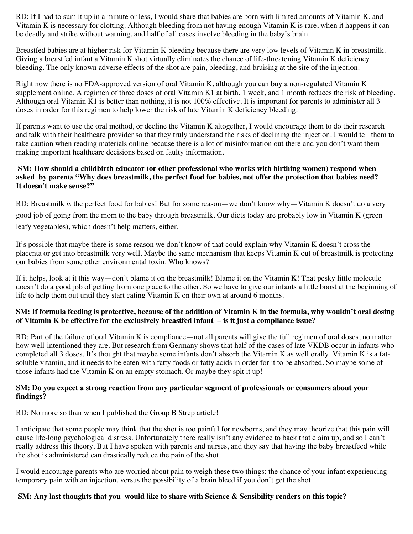RD: If I had to sum it up in a minute or less, I would share that babies are born with limited amounts of Vitamin K, and Vitamin K is necessary for clotting. Although bleeding from not having enough Vitamin K is rare, when it happens it can be deadly and strike without warning, and half of all cases involve bleeding in the baby's brain.

Breastfed babies are at higher risk for Vitamin K bleeding because there are very low levels of Vitamin K in breastmilk. Giving a breastfed infant a Vitamin K shot virtually eliminates the chance of life-threatening Vitamin K deficiency bleeding. The only known adverse effects of the shot are pain, bleeding, and bruising at the site of the injection.

Right now there is no FDA-approved version of oral Vitamin K, although you can buy a non-regulated Vitamin K supplement online. A regimen of three doses of oral Vitamin K1 at birth, 1 week, and 1 month reduces the risk of bleeding. Although oral Vitamin K1 is better than nothing, it is not 100% effective. It is important for parents to administer all 3 doses in order for this regimen to help lower the risk of late Vitamin K deficiency bleeding.

If parents want to use the oral method, or decline the Vitamin K altogether, I would encourage them to do their research and talk with their healthcare provider so that they truly understand the risks of declining the injection. I would tell them to take caution when reading materials online because there is a lot of misinformation out there and you don't want them making important healthcare decisions based on faulty information.

#### **SM: How should a childbirth educator (or other professional who works with birthing women) respond when asked by parents "Why does breastmilk, the perfect food for babies, not offer the protection that babies need? It doesn't make sense?"**

RD: Breastmilk *is* the perfect food for babies! But for some reason—we don't know why—Vitamin K doesn't do a very good job of going from the mom to the baby through breastmilk. Our diets today are probably low in Vitamin K (green leafy vegetables), which doesn't help matters, either.

It's possible that maybe there is some reason we don't know of that could explain why Vitamin K doesn't cross the placenta or get into breastmilk very well. Maybe the same mechanism that keeps Vitamin K out of breastmilk is protecting our babies from some other environmental toxin. Who knows?

If it helps, look at it this way—don't blame it on the breastmilk! Blame it on the Vitamin K! That pesky little molecule doesn't do a good job of getting from one place to the other. So we have to give our infants a little boost at the beginning of life to help them out until they start eating Vitamin K on their own at around 6 months.

#### **SM: If formula feeding is protective, because of the addition of Vitamin K in the formula, why wouldn't oral dosing of Vitamin K be effective for the exclusively breastfed infant – is it just a compliance issue?**

RD: Part of the failure of oral Vitamin K is compliance—not all parents will give the full regimen of oral doses, no matter how well-intentioned they are. But research from Germany shows that half of the cases of late VKDB occur in infants who completed all 3 doses. It's thought that maybe some infants don't absorb the Vitamin K as well orally. Vitamin K is a fatsoluble vitamin, and it needs to be eaten with fatty foods or fatty acids in order for it to be absorbed. So maybe some of those infants had the Vitamin K on an empty stomach. Or maybe they spit it up!

#### **SM: Do you expect a strong reaction from any particular segment of professionals or consumers about your findings?**

RD: No more so than when I published the Group B Strep article!

I anticipate that some people may think that the shot is too painful for newborns, and they may theorize that this pain will cause life-long psychological distress. Unfortunately there really isn't any evidence to back that claim up, and so I can't really address this theory. But I have spoken with parents and nurses, and they say that having the baby breastfeed while the shot is administered can drastically reduce the pain of the shot.

I would encourage parents who are worried about pain to weigh these two things: the chance of your infant experiencing temporary pain with an injection, versus the possibility of a brain bleed if you don't get the shot.

#### **SM: Any last thoughts that you would like to share with Science & Sensibility readers on this topic?**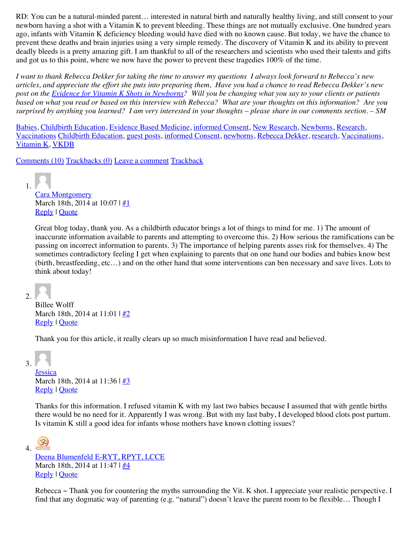RD: You can be a natural-minded parent… interested in natural birth and naturally healthy living, and still consent to your newborn having a shot with a Vitamin K to prevent bleeding. These things are not mutually exclusive. One hundred years ago, infants with Vitamin K deficiency bleeding would have died with no known cause. But today, we have the chance to prevent these deaths and brain injuries using a very simple remedy. The discovery of Vitamin K and its ability to prevent deadly bleeds is a pretty amazing gift. I am thankful to all of the researchers and scientists who used their talents and gifts and got us to this point, where we now have the power to prevent these tragedies 100% of the time.

*I want to thank Rebecca Dekker for taking the time to answer my questions I always look forward to Rebecca's new articles, and appreciate the effort she puts into preparing them, Have you had a chance to read Rebecca Dekker's new post on the [Evidence for Vitamin K Shots in Newborns](http://www.evidencebasedbirth.com/evidence-for-the-Vitamin-K-shot-in-newborns)? Will you be changing what you say to your clients or patients based on what you read or based on this interview with Rebecca? What are your thoughts on this information? Are you surprised by anything you learned? I am very interested in your thoughts – please share in our comments section. – SM*

[Babies,](http://www.scienceandsensibility.org/?cat=664) [Childbirth Education,](http://www.scienceandsensibility.org/?cat=46) [Evidence Based Medicine,](http://www.scienceandsensibility.org/?cat=412) [informed Consent,](http://www.scienceandsensibility.org/?cat=620) [New Research,](http://www.scienceandsensibility.org/?cat=4) [Newborns](http://www.scienceandsensibility.org/?cat=1397), [Research,](http://www.scienceandsensibility.org/?cat=171) [Vaccinations](http://www.scienceandsensibility.org/?cat=1180) [Childbirth Education,](http://www.scienceandsensibility.org/?tag=childbirth-education) [guest posts](http://www.scienceandsensibility.org/?tag=guest-posts-2), [informed Consent,](http://www.scienceandsensibility.org/?tag=informed-consent) [newborns,](http://www.scienceandsensibility.org/?tag=newborns) [Rebecca Dekker,](http://www.scienceandsensibility.org/?tag=rebecca-dekker) [research,](http://www.scienceandsensibility.org/?tag=research) [Vaccinations,](http://www.scienceandsensibility.org/?tag=vaccinations) [Vitamin K](http://www.scienceandsensibility.org/?tag=vitamin-k), [VKDB](http://www.scienceandsensibility.org/?tag=vkdb)

[Comments \(10\)](javascript:void(0);) [Trackbacks \(0\)](javascript:void(0);) [Leave a comment](http://www.scienceandsensibility.org/?p=8053#respond) [Trackback](http://www.scienceandsensibility.org/wp-trackback.php?p=8053)

1. [Cara Montgomery](http://www.createyourbirth.com/) March 18th, 2014 at 10:07 |  $#1$ [Reply](javascript:void(0);) | [Quote](javascript:void(0);)

Great blog today, thank you. As a childbirth educator brings a lot of things to mind for me. 1) The amount of inaccurate information available to parents and attempting to overcome this. 2) How serious the ramifications can be passing on incorrect information to parents. 3) The importance of helping parents asses risk for themselves. 4) The sometimes contradictory feeling I get when explaining to parents that on one hand our bodies and babies know best (birth, breastfeeding, etc…) and on the other hand that some interventions can ben necessary and save lives. Lots to think about today!

 $2<sup>1</sup>$ 

Billee Wolff March 18th, 2014 at 11:01 |  $\frac{\#2}{2}$ [Reply](javascript:void(0);) | [Quote](javascript:void(0);)

Thank you for this article, it really clears up so much misinformation I have read and believed.

3.

**[Jessica](http://www.onetreephotography.com/)** March 18th, 2014 at 11:36 | [#3](http://www.scienceandsensibility.org/?p=8053#comment-142077) [Reply](javascript:void(0);) | [Quote](javascript:void(0);)

Thanks for this information. I refused vitamin K with my last two babies because I assumed that with gentle births there would be no need for it. Apparently I was wrong. But with my last baby, I developed blood clots post partum. Is vitamin K still a good idea for infants whose mothers have known clotting issues?

(30) 4

> [Deena Blumenfeld E-RYT, RPYT, LCCE](http://www.shininglightprenatal.com/) March 18th, 2014 at 11:47 |  $#4$ [Reply](javascript:void(0);) | [Quote](javascript:void(0);)

Rebecca  $\sim$  Thank you for countering the myths surrounding the Vit. K shot. I appreciate your realistic perspective. I find that any dogmatic way of parenting (e.g. "natural") doesn't leave the parent room to be flexible… Though I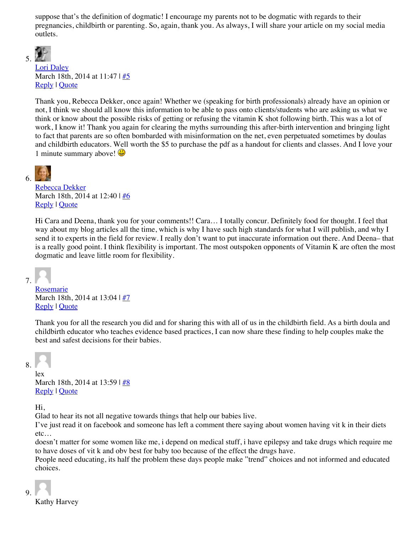suppose that's the definition of dogmatic! I encourage my parents not to be dogmatic with regards to their pregnancies, childbirth or parenting. So, again, thank you. As always, I will share your article on my social media outlets.



#### [Lori Daley](http://www.delcodoula.com/) March 18th, 2014 at 11:47 |  $#5$ [Reply](javascript:void(0);) | [Quote](javascript:void(0);)

Thank you, Rebecca Dekker, once again! Whether we (speaking for birth professionals) already have an opinion or not, I think we should all know this information to be able to pass onto clients/students who are asking us what we think or know about the possible risks of getting or refusing the vitamin K shot following birth. This was a lot of work, I know it! Thank you again for clearing the myths surrounding this after-birth intervention and bringing light to fact that parents are so often bombarded with misinformation on the net, even perpetuated sometimes by doulas and childbirth educators. Well worth the \$5 to purchase the pdf as a handout for clients and classes. And I love your 1 minute summary above!



[Rebecca Dekker](http://www.evidencebasedbirth.com/) March 18th, 2014 at 12:40 | [#6](http://www.scienceandsensibility.org/?p=8053#comment-142101) [Reply](javascript:void(0);) | [Quote](javascript:void(0);)

Hi Cara and Deena, thank you for your comments!! Cara… I totally concur. Definitely food for thought. I feel that way about my blog articles all the time, which is why I have such high standards for what I will publish, and why I send it to experts in the field for review. I really don't want to put inaccurate information out there. And Deena– that is a really good point. I think flexibility is important. The most outspoken opponents of Vitamin K are often the most dogmatic and leave little room for flexibility.

### 7.

[Rosemarie](http://www.mothertomotherservices.com/) March 18th, 2014 at 13:04 | [#7](http://www.scienceandsensibility.org/?p=8053#comment-142107) [Reply](javascript:void(0);) | [Quote](javascript:void(0);)

Thank you for all the research you did and for sharing this with all of us in the childbirth field. As a birth doula and childbirth educator who teaches evidence based practices, I can now share these finding to help couples make the best and safest decisions for their babies.

## 8.

lex

March 18th, 2014 at 13:59 | [#8](http://www.scienceandsensibility.org/?p=8053#comment-142119) [Reply](javascript:void(0);) | [Quote](javascript:void(0);)

Hi,

Glad to hear its not all negative towards things that help our babies live.

I've just read it on facebook and someone has left a comment there saying about women having vit k in their diets etc…

doesn't matter for some women like me, i depend on medical stuff, i have epilepsy and take drugs which require me to have doses of vit k and obv best for baby too because of the effect the drugs have.

People need educating, its half the problem these days people make "trend" choices and not informed and educated choices.

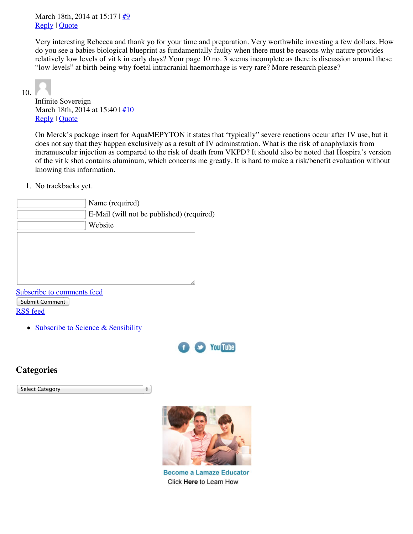March 18th, 2014 at 15:17 |  $\frac{\#9}{4}$ [Reply](javascript:void(0);) | [Quote](javascript:void(0);)

Very interesting Rebecca and thank yo for your time and preparation. Very worthwhile investing a few dollars. How do you see a babies biological blueprint as fundamentally faulty when there must be reasons why nature provides relatively low levels of vit k in early days? Your page 10 no. 3 seems incomplete as there is discussion around these "low levels" at birth being why foetal intracranial haemorrhage is very rare? More research please?

10.

Infinite Sovereign March 18th, 2014 at 15:40  $\frac{1}{10}$ [Reply](javascript:void(0);) | [Quote](javascript:void(0);)

On Merck's package insert for AquaMEPYTON it states that "typically" severe reactions occur after IV use, but it does not say that they happen exclusively as a result of IV adminstration. What is the risk of anaphylaxis from intramuscular injection as compared to the risk of death from VKPD? It should also be noted that Hospira's version of the vit k shot contains aluminum, which concerns me greatly. It is hard to make a risk/benefit evaluation without knowing this information.

1. No trackbacks yet.

| Name (required)                           |
|-------------------------------------------|
| E-Mail (will not be published) (required) |
| Website                                   |
|                                           |

[Subscribe to comments feed](http://www.scienceandsensibility.org/?feed=comments-rss2) Submit Comment [RSS feed](http://www.scienceandsensibility.org/?feed=rss2)

• [Subscribe to Science & Sensibility](http://feedburner.google.com/fb/a/mailverify?uri=science-sensibility&loc=en_US)



### **Categories**

Select Category $\div$ 



**Become a Lamaze Educator** Click Here to Learn How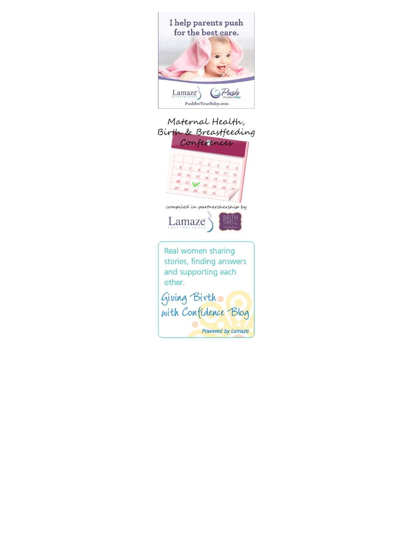

## Maternal Health, Birth & Breastfeeding

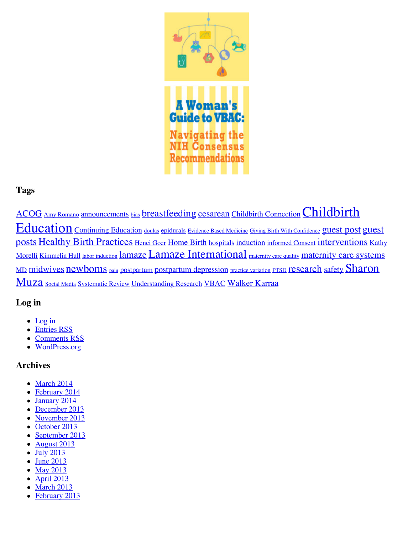

## **Tags**

[ACOG](http://www.scienceandsensibility.org/?tag=acog) [Amy Romano](http://www.scienceandsensibility.org/?tag=amy-romano) [announcements](http://www.scienceandsensibility.org/?tag=announcements) [bias](http://www.scienceandsensibility.org/?tag=bias) [breastfeeding](http://www.scienceandsensibility.org/?tag=breastfeeding) [cesarean](http://www.scienceandsensibility.org/?tag=cesarean) [Childbirth Connection](http://www.scienceandsensibility.org/?tag=childbirth-connection) [Childbirth](http://www.scienceandsensibility.org/?tag=childbirth-education) Education [Continuing Education](http://www.scienceandsensibility.org/?tag=continuing-education) [doulas](http://www.scienceandsensibility.org/?tag=doulas) [epidurals](http://www.scienceandsensibility.org/?tag=epidurals) [Evidence Based Medicine](http://www.scienceandsensibility.org/?tag=evidence-based-medicine) [Giving Birth With Confidence](http://www.scienceandsensibility.org/?tag=giving-birth-with-confidence) [guest post](http://www.scienceandsensibility.org/?tag=guest-post) guest posts [Healthy Birth Practices](http://www.scienceandsensibility.org/?tag=guest-posts-2) [Henci Goer](http://www.scienceandsensibility.org/?tag=henci-goer) [Home Birth](http://www.scienceandsensibility.org/?tag=home-birth) [hospitals](http://www.scienceandsensibility.org/?tag=hospitals) [induction](http://www.scienceandsensibility.org/?tag=induction) [informed Consent](http://www.scienceandsensibility.org/?tag=informed-consent) [interventions](http://www.scienceandsensibility.org/?tag=interventions) Kathy Morelli [Kimmelin Hull](http://www.scienceandsensibility.org/?tag=kimmelin-hull) [labor induction](http://www.scienceandsensibility.org/?tag=labor-induction) [lamaze](http://www.scienceandsensibility.org/?tag=lamaze) [Lamaze International](http://www.scienceandsensibility.org/?tag=lamaze-international) [maternity care quality](http://www.scienceandsensibility.org/?tag=maternity-care-quality) [maternity care systems](http://www.scienceandsensibility.org/?tag=maternity-care-systems) [MD](http://www.scienceandsensibility.org/?tag=md) [midwives](http://www.scienceandsensibility.org/?tag=midwives) [newborns](http://www.scienceandsensibility.org/?tag=newborns) [pain](http://www.scienceandsensibility.org/?tag=pain) [postpartum](http://www.scienceandsensibility.org/?tag=postpartum) [postpartum depression](http://www.scienceandsensibility.org/?tag=postpartum-depression) [practice variation](http://www.scienceandsensibility.org/?tag=practice-variation) [PTSD](http://www.scienceandsensibility.org/?tag=ptsd) [research](http://www.scienceandsensibility.org/?tag=research) [safety](http://www.scienceandsensibility.org/?tag=safety) Sharon Muza [Social Media](http://www.scienceandsensibility.org/?tag=social-media) [Systematic Review](http://www.scienceandsensibility.org/?tag=systematic-review) [Understanding Research](http://www.scienceandsensibility.org/?tag=understanding-research) [VBAC](http://www.scienceandsensibility.org/?tag=vbac) [Walker Karraa](http://www.scienceandsensibility.org/?tag=walker-karraa)

## **Log in**

- $\bullet$  [Log in](http://www.scienceandsensibility.org/wp-login.php)
- **[Entries RSS](http://www.scienceandsensibility.org/?feed=rss2)**
- [Comments RSS](http://www.scienceandsensibility.org/?feed=comments-rss2)
- [WordPress.org](http://wordpress.org/)

## **Archives**

- [March 2014](http://www.scienceandsensibility.org/?m=201403)
- [February 2014](http://www.scienceandsensibility.org/?m=201402)
- [January 2014](http://www.scienceandsensibility.org/?m=201401)
- [December 2013](http://www.scienceandsensibility.org/?m=201312)
- [November 2013](http://www.scienceandsensibility.org/?m=201311)
- [October 2013](http://www.scienceandsensibility.org/?m=201310)
- [September 2013](http://www.scienceandsensibility.org/?m=201309)
- [August 2013](http://www.scienceandsensibility.org/?m=201308)
- [July 2013](http://www.scienceandsensibility.org/?m=201307)
- $\bullet$  [June 2013](http://www.scienceandsensibility.org/?m=201306)
- [May 2013](http://www.scienceandsensibility.org/?m=201305)
- [April 2013](http://www.scienceandsensibility.org/?m=201304)  $\bullet$  [March 2013](http://www.scienceandsensibility.org/?m=201303)
- [February 2013](http://www.scienceandsensibility.org/?m=201302)